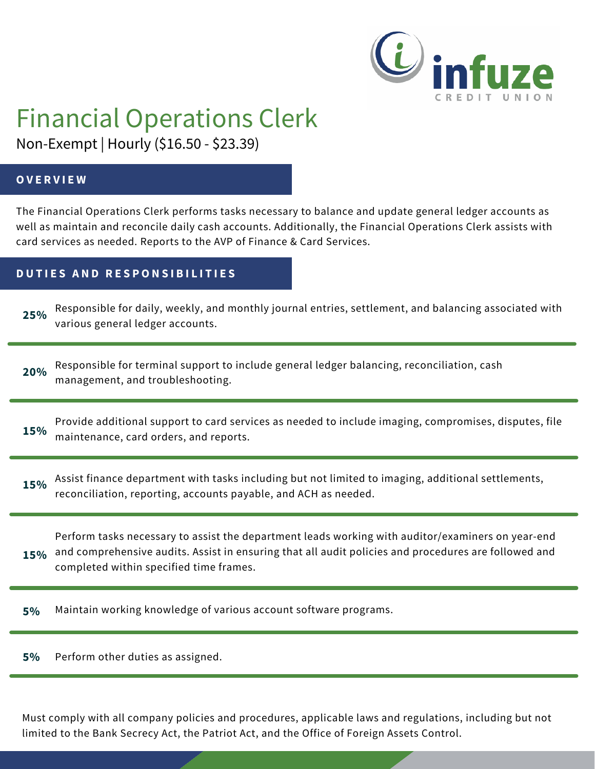

# Financial Operations Clerk

Non-Exempt | Hourly (\$16.50 - \$23.39)

#### **O V E R V I E W**

The Financial Operations Clerk performs tasks necessary to balance and update general ledger accounts as well as maintain and reconcile daily cash accounts. Additionally, the Financial Operations Clerk assists with card services as needed. Reports to the AVP of Finance & Card Services.

### **D U T I E S A N D R E S P O N S I B I L I T I E S**

Responsible for daily, weekly, and monthly journal entries, settlement, and balancing associated with various general ledger accounts. **25%**

**20%** Responsible for terminal support to include general ledger balancing, reconciliation, cash management, and troubleshooting.

**15%** Provide additional support to card services as needed to include imaging, compromises, disputes, file maintenance, card orders, and reports.

**15%** Assist finance department with tasks including but not limited to imaging, additional settlements, reconciliation, reporting, accounts payable, and ACH as needed.

Perform tasks necessary to assist the department leads working with auditor/examiners on year-end and comprehensive audits. Assist in ensuring that all audit policies and procedures are followed and completed within specified time frames. **15%**

**5%** Maintain working knowledge of various account software programs.

**5%** Perform other duties as assigned.

Must comply with all company policies and procedures, applicable laws and regulations, including but not limited to the Bank Secrecy Act, the Patriot Act, and the Office of Foreign Assets Control.